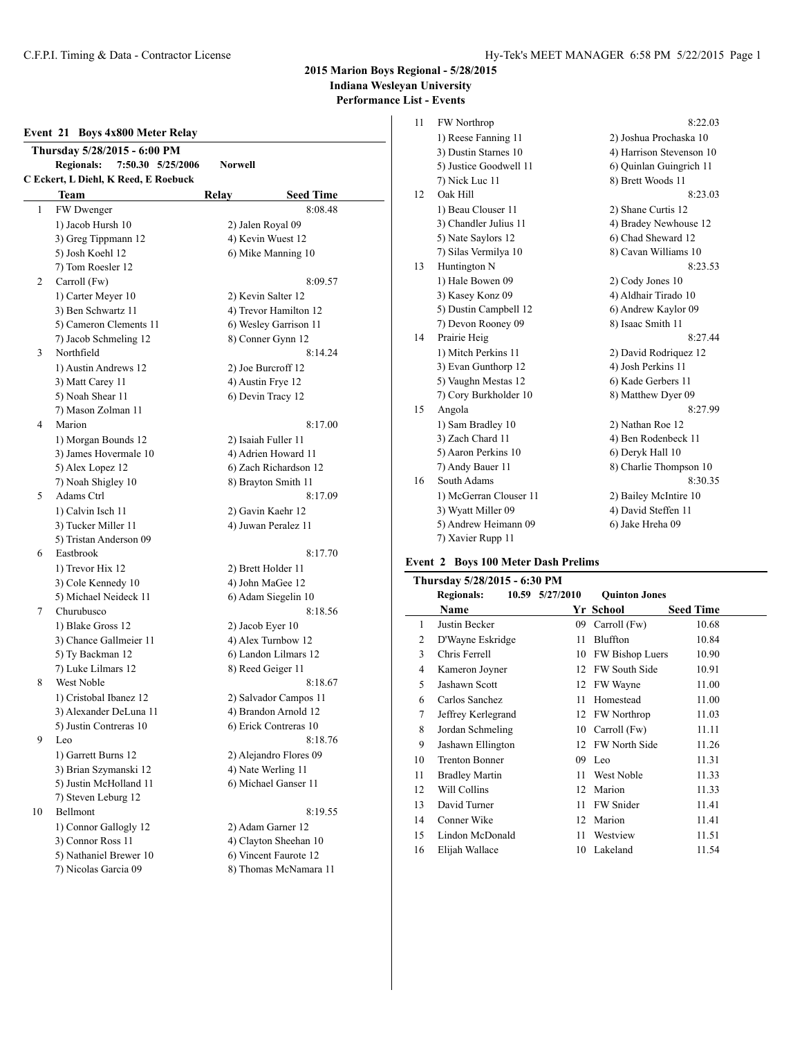## **2015 Marion Boys Regional - 5/28/2015 Indiana Wesleyan University Performance List - Events**

## **Event 21 Boys 4x800 Meter Relay Thursday 5/28/2015 - 6:00 PM Regionals: 7:50.30 5/25/2006 Norwell C Eckert, L Diehl, K Reed, E Roebuck Team Relay Seed Time** 1 FW Dwenger 8:08.48 1) Jacob Hursh 10 2) Jalen Royal 09 3) Greg Tippmann 12 4) Kevin Wuest 12 5) Josh Koehl 12 6) Mike Manning 10 7) Tom Roesler 12 2 Carroll (Fw) 8:09.57 1) Carter Meyer 10 2) Kevin Salter 12 3) Ben Schwartz 11 4) Trevor Hamilton 12 5) Cameron Clements 11 6) Wesley Garrison 11 7) Jacob Schmeling 12 8) Conner Gynn 12 3 Northfield 8:14.24 1) Austin Andrews 12 2) Joe Burcroff 12 3) Matt Carey 11 4) Austin Frye 12 5) Noah Shear 11 6) Devin Tracy 12 7) Mason Zolman 11 4 Marion 8:17.00 1) Morgan Bounds 12 2) Isaiah Fuller 11 3) James Hovermale 10 4) Adrien Howard 11 5) Alex Lopez 12 6) Zach Richardson 12 7) Noah Shigley 10 8) Brayton Smith 11 5 Adams Ctrl 8:17.09 1) Calvin Isch 11 2) Gavin Kaehr 12 3) Tucker Miller 11 4) Juwan Peralez 11 5) Tristan Anderson 09 6 Eastbrook 8:17.70 1) Trevor Hix 12 2) Brett Holder 11 3) Cole Kennedy 10 4) John MaGee 12 5) Michael Neideck 11 6) Adam Siegelin 10 7 Churubusco 8:18.56 1) Blake Gross 12 2) Jacob Eyer 10 3) Chance Gallmeier 11 4) Alex Turnbow 12 5) Ty Backman 12 6) Landon Lilmars 12 7) Luke Lilmars 12 8) Reed Geiger 11 8 West Noble 8:18.67 1) Cristobal Ibanez 12 2) Salvador Campos 11 3) Alexander DeLuna 11 4) Brandon Arnold 12 5) Justin Contreras 10 6) Erick Contreras 10 9 Leo 8:18.76 1) Garrett Burns 12 2) Alejandro Flores 09 3) Brian Szymanski 12 4) Nate Werling 11 5) Justin McHolland 11 6) Michael Ganser 11 7) Steven Leburg 12 10 Bellmont 8:19.55 1) Connor Gallogly 12 2) Adam Garner 12 3) Connor Ross 11 4) Clayton Sheehan 10 5) Nathaniel Brewer 10 6) Vincent Faurote 12 7) Nicolas Garcia 09 8) Thomas McNamara 11

| 11 | <b>FW Northrop</b>     | 8:22.03                  |
|----|------------------------|--------------------------|
|    | 1) Reese Fanning 11    | 2) Joshua Prochaska 10   |
|    | 3) Dustin Starnes 10   | 4) Harrison Stevenson 10 |
|    | 5) Justice Goodwell 11 | 6) Quinlan Guingrich 11  |
|    | 7) Nick Luc 11         | 8) Brett Woods 11        |
| 12 | Oak Hill               | 8:23.03                  |
|    | 1) Beau Clouser 11     | 2) Shane Curtis 12       |
|    | 3) Chandler Julius 11  | 4) Bradey Newhouse 12    |
|    | 5) Nate Saylors 12     | 6) Chad Sheward 12       |
|    | 7) Silas Vermilya 10   | 8) Cavan Williams 10     |
| 13 | Huntington N           | 8:23.53                  |
|    | 1) Hale Bowen 09       | 2) Cody Jones 10         |
|    | 3) Kasey Konz 09       | 4) Aldhair Tirado 10     |
|    | 5) Dustin Campbell 12  | 6) Andrew Kaylor 09      |
|    | 7) Devon Rooney 09     | 8) Isaac Smith 11        |
| 14 | Prairie Heig           | 8:27.44                  |
|    | 1) Mitch Perkins 11    | 2) David Rodriguez 12    |
|    | 3) Evan Gunthorp 12    | 4) Josh Perkins 11       |
|    | 5) Vaughn Mestas 12    | 6) Kade Gerbers 11       |
|    | 7) Cory Burkholder 10  | 8) Matthew Dyer 09       |
| 15 | Angola                 | 8:27.99                  |
|    | 1) Sam Bradley 10      | 2) Nathan Roe 12         |
|    | 3) Zach Chard 11       | 4) Ben Rodenbeck 11      |
|    | 5) Aaron Perkins 10    | 6) Deryk Hall 10         |
|    | 7) Andy Bauer 11       | 8) Charlie Thompson 10   |
| 16 | South Adams            | 8:30.35                  |
|    | 1) McGerran Clouser 11 | 2) Bailey McIntire 10    |
|    | 3) Wyatt Miller 09     | 4) David Steffen 11      |
|    | 5) Andrew Heimann 09   | 6) Jake Hreha 09         |
|    | 7) Xavier Rupp 11      |                          |
|    |                        |                          |

## **Event 2 Boys 100 Meter Dash Prelims**

| Thursday 5/28/2015 - 6:30 PM |                       |                 |                      |                  |  |  |
|------------------------------|-----------------------|-----------------|----------------------|------------------|--|--|
|                              | <b>Regionals:</b>     | 10.59 5/27/2010 | <b>Ouinton Jones</b> |                  |  |  |
|                              | <b>Name</b>           |                 | Yr School            | <b>Seed Time</b> |  |  |
| 1                            | Justin Becker         | 09.             | Carroll (Fw)         | 10.68            |  |  |
| 2                            | D'Wayne Eskridge      | 11              | Bluffton             | 10.84            |  |  |
| 3                            | Chris Ferrell         | 10              | FW Bishop Luers      | 10.90            |  |  |
| 4                            | Kameron Joyner        | 12              | FW South Side        | 10.91            |  |  |
| 5                            | Jashawn Scott         | 12              | FW Wayne             | 11.00            |  |  |
| 6                            | Carlos Sanchez        | 11              | Homestead            | 11.00            |  |  |
| 7                            | Jeffrey Kerlegrand    |                 | 12 FW Northrop       | 11.03            |  |  |
| 8                            | Jordan Schmeling      | 10              | Carroll (Fw)         | 11.11            |  |  |
| 9                            | Jashawn Ellington     |                 | 12 FW North Side     | 11.26            |  |  |
| 10                           | <b>Trenton Bonner</b> | 09              | Leo                  | 11.31            |  |  |
| 11                           | <b>Bradley Martin</b> | 11              | West Noble           | 11.33            |  |  |
| 12                           | Will Collins          | 12              | Marion               | 11.33            |  |  |
| 13                           | David Turner          | 11              | FW Snider            | 11.41            |  |  |
| 14                           | Conner Wike           | 12              | Marion               | 11.41            |  |  |
| 15                           | Lindon McDonald       | 11              | Westview             | 11.51            |  |  |
| 16                           | Elijah Wallace        |                 | 10 Lakeland          | 11.54            |  |  |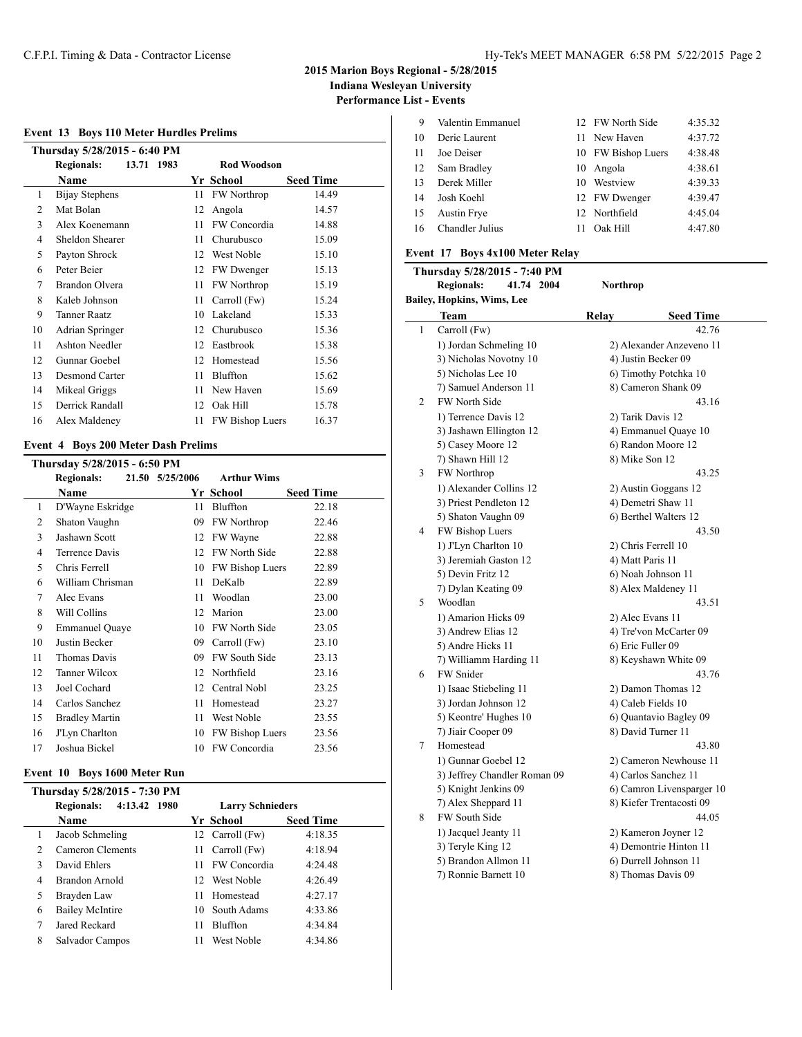## **2015 Marion Boys Regional - 5/28/2015 Indiana Wesleyan University Performance List - Events**

# **Event 13 Boys 110 Meter Hurdles Prelims**

| $10 - 100$     |                                 |    |                        |                  |  |
|----------------|---------------------------------|----|------------------------|------------------|--|
|                | Thursday 5/28/2015 - 6:40 PM    |    |                        |                  |  |
|                | <b>Regionals:</b><br>13.71 1983 |    | <b>Rod Woodson</b>     |                  |  |
|                | Name                            |    | Yr School              | <b>Seed Time</b> |  |
| 1              | Bijay Stephens                  | 11 | <b>FW Northrop</b>     | 14.49            |  |
| $\overline{c}$ | Mat Bolan                       | 12 | Angola                 | 14.57            |  |
| 3              | Alex Koenemann                  | 11 | FW Concordia           | 14.88            |  |
| 4              | Sheldon Shearer                 | 11 | Churubusco             | 15.09            |  |
| 5              | Payton Shrock                   | 12 | West Noble             | 15.10            |  |
| 6              | Peter Beier                     | 12 | FW Dwenger             | 15.13            |  |
| 7              | <b>Brandon Olvera</b>           | 11 | <b>FW Northrop</b>     | 15.19            |  |
| 8              | Kaleb Johnson                   | 11 | Carroll (Fw)           | 15.24            |  |
| 9              | <b>Tanner Raatz</b>             | 10 | Lakeland               | 15.33            |  |
| 10             | Adrian Springer                 | 12 | Churubusco             | 15.36            |  |
| 11             | <b>Ashton Needler</b>           | 12 | Eastbrook              | 15.38            |  |
| 12             | Gunnar Goebel                   | 12 | Homestead              | 15.56            |  |
| 13             | Desmond Carter                  | 11 | Bluffton               | 15.62            |  |
| 14             | Mikeal Griggs                   | 11 | New Haven              | 15.69            |  |
| 15             | Derrick Randall                 | 12 | Oak Hill               | 15.78            |  |
| 16             | Alex Maldeney                   | 11 | <b>FW Bishop Luers</b> | 16.37            |  |
|                |                                 |    |                        |                  |  |

# **Event 4 Boys 200 Meter Dash Prelims**

|    | Thursday 5/28/2015 - 6:50 PM |  |                 |                      |                  |  |  |
|----|------------------------------|--|-----------------|----------------------|------------------|--|--|
|    | <b>Regionals:</b>            |  | 21.50 5/25/2006 | <b>Arthur Wims</b>   |                  |  |  |
|    | Name                         |  |                 | Yr School            | <b>Seed Time</b> |  |  |
| 1  | D'Wayne Eskridge             |  | 11              | Bluffton             | 22.18            |  |  |
| 2  | Shaton Vaughn                |  | 09              | <b>FW Northrop</b>   | 22.46            |  |  |
| 3  | Jashawn Scott                |  | 12              | FW Wayne             | 22.88            |  |  |
| 4  | Terrence Davis               |  | 12              | <b>FW North Side</b> | 22.88            |  |  |
| 5  | Chris Ferrell                |  | 10              | FW Bishop Luers      | 22.89            |  |  |
| 6  | William Chrisman             |  | 11              | DeKalb               | 22.89            |  |  |
| 7  | Alec Evans                   |  | 11              | Woodlan              | 23.00            |  |  |
| 8  | Will Collins                 |  | 12              | Marion               | 23.00            |  |  |
| 9  | <b>Emmanuel Quaye</b>        |  | 10              | FW North Side        | 23.05            |  |  |
| 10 | Justin Becker                |  | 09              | Carroll (Fw)         | 23.10            |  |  |
| 11 | Thomas Davis                 |  | 09              | <b>FW South Side</b> | 23.13            |  |  |
| 12 | Tanner Wilcox                |  | 12              | Northfield           | 23.16            |  |  |
| 13 | Joel Cochard                 |  | 12              | Central Nobl         | 23.25            |  |  |
| 14 | Carlos Sanchez               |  | 11              | Homestead            | 23.27            |  |  |
| 15 | <b>Bradley Martin</b>        |  | 11              | West Noble           | 23.55            |  |  |
| 16 | J'Lyn Charlton               |  | 10              | FW Bishop Luers      | 23.56            |  |  |
| 17 | Joshua Bickel                |  | 10              | FW Concordia         | 23.56            |  |  |
|    |                              |  |                 |                      |                  |  |  |

# **Event 10 Boys 1600 Meter Run**

|   | Thursday 5/28/2015 - 7:30 PM      |    |                         |                  |  |
|---|-----------------------------------|----|-------------------------|------------------|--|
|   | 4:13.42 1980<br><b>Regionals:</b> |    | <b>Larry Schnieders</b> |                  |  |
|   | <b>Name</b>                       |    | Yr School               | <b>Seed Time</b> |  |
| 1 | Jacob Schmeling                   |    | 12 Carroll (Fw)         | 4:18.35          |  |
| 2 | Cameron Clements                  | 11 | Carroll (Fw)            | 4:18.94          |  |
| 3 | David Ehlers                      | 11 | FW Concordia            | 4:24.48          |  |
| 4 | Brandon Arnold                    |    | 12 West Noble           | 4:26.49          |  |
| 5 | Brayden Law                       | 11 | Homestead               | 4:27.17          |  |
| 6 | <b>Bailey McIntire</b>            |    | 10 South Adams          | 4:33.86          |  |
| 7 | Jared Reckard                     | 11 | Bluffton                | 4:34.84          |  |
| 8 | Salvador Campos                   | 11 | West Noble              | 4:34.86          |  |

| 9  | Valentin Emmanuel  |     | 12 FW North Side   | 4:35.32 |
|----|--------------------|-----|--------------------|---------|
| 10 | Deric Laurent      | 11. | New Haven          | 4:37.72 |
| 11 | Joe Deiser         |     | 10 FW Bishop Luers | 4:38.48 |
| 12 | Sam Bradley        |     | 10 Angola          | 4:38.61 |
| 13 | Derek Miller       |     | 10 Westview        | 4:39.33 |
| 14 | Josh Koehl         |     | 12 FW Dwenger      | 4:39.47 |
| 15 | <b>Austin Frye</b> |     | 12 Northfield      | 4:45.04 |
| 16 | Chandler Julius    |     | Oak Hill           | 4:47.80 |

# **Event 17 Boys 4x100 Meter Relay**

|              | Thursday 5/28/2015 - 7:40 PM      |          |                           |
|--------------|-----------------------------------|----------|---------------------------|
|              | <b>Regionals:</b><br>41.74 2004   | Northrop |                           |
|              | <b>Bailey, Hopkins, Wims, Lee</b> |          |                           |
|              | <b>Team</b>                       | Relay    | <b>Seed Time</b>          |
| $\mathbf{1}$ | Carroll (Fw)                      |          | 42.76                     |
|              | 1) Jordan Schmeling 10            |          | 2) Alexander Anzeveno 11  |
|              | 3) Nicholas Novotny 10            |          | 4) Justin Becker 09       |
|              | 5) Nicholas Lee 10                |          | 6) Timothy Potchka 10     |
|              | 7) Samuel Anderson 11             |          | 8) Cameron Shank 09       |
| 2            | <b>FW North Side</b>              | 43.16    |                           |
|              | 1) Terrence Davis 12              |          | 2) Tarik Davis 12         |
|              | 3) Jashawn Ellington 12           |          | 4) Emmanuel Quaye 10      |
|              | 5) Casey Moore 12                 |          | 6) Randon Moore 12        |
|              | 7) Shawn Hill 12                  |          | 8) Mike Son 12            |
| 3            | <b>FW Northrop</b>                |          | 43.25                     |
|              | 1) Alexander Collins 12           |          | 2) Austin Goggans 12      |
|              | 3) Priest Pendleton 12            |          | 4) Demetri Shaw 11        |
|              | 5) Shaton Vaughn 09               |          | 6) Berthel Walters 12     |
| 4            | FW Bishop Luers                   |          | 43.50                     |
|              | 1) J'Lyn Charlton 10              |          | 2) Chris Ferrell 10       |
|              | 3) Jeremiah Gaston 12             |          | 4) Matt Paris 11          |
|              | 5) Devin Fritz 12                 |          | 6) Noah Johnson 11        |
|              | 7) Dylan Keating 09               |          | 8) Alex Maldeney 11       |
| 5            | Woodlan                           |          | 43.51                     |
|              | 1) Amarion Hicks 09               |          | 2) Alec Evans 11          |
|              | 3) Andrew Elias 12                |          | 4) Tre'von McCarter 09    |
|              | 5) Andre Hicks 11                 |          | 6) Eric Fuller 09         |
|              | 7) Williamm Harding 11            |          | 8) Keyshawn White 09      |
| 6            | <b>FW</b> Snider                  |          | 43.76                     |
|              | 1) Isaac Stiebeling 11            |          | 2) Damon Thomas 12        |
|              | 3) Jordan Johnson 12              |          | 4) Caleb Fields 10        |
|              | 5) Keontre' Hughes 10             |          | 6) Quantavio Bagley 09    |
|              | 7) Jiair Cooper 09                |          | 8) David Turner 11        |
| 7            | Homestead                         |          | 43.80                     |
|              | 1) Gunnar Goebel 12               |          | 2) Cameron Newhouse 11    |
|              | 3) Jeffrey Chandler Roman 09      |          | 4) Carlos Sanchez 11      |
|              | 5) Knight Jenkins 09              |          | 6) Camron Livensparger 10 |
|              | 7) Alex Sheppard 11               |          | 8) Kiefer Trentacosti 09  |
| 8            | FW South Side                     |          | 44.05                     |
|              | 1) Jacquel Jeanty 11              |          | 2) Kameron Joyner 12      |
|              | 3) Teryle King 12                 |          | 4) Demontrie Hinton 11    |
|              | 5) Brandon Allmon 11              |          | 6) Durrell Johnson 11     |
|              | 7) Ronnie Barnett 10              |          | 8) Thomas Davis 09        |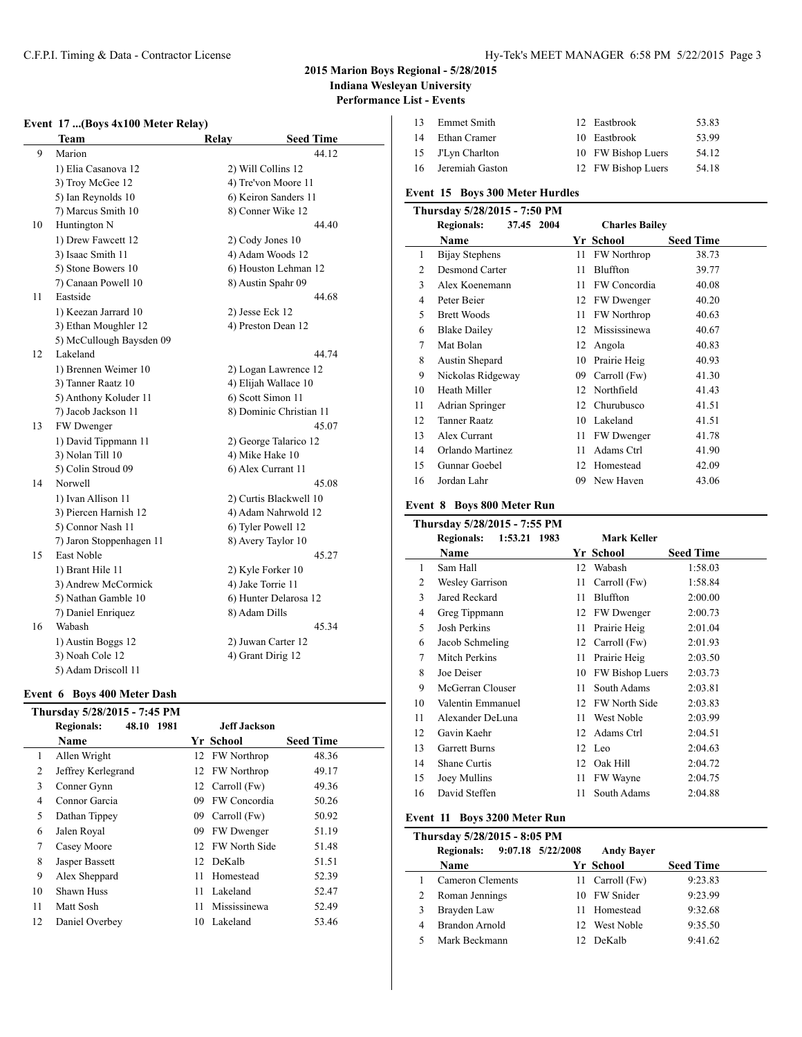# **2015 Marion Boys Regional - 5/28/2015 Indiana Wesleyan University**

**Performance List - Events**

# **Event 17 ...(Boys 4x100 Meter Relay)**

|    | Team                     | <b>Relay</b>    | <b>Seed Time</b>        |
|----|--------------------------|-----------------|-------------------------|
| 9  | Marion                   |                 | 44.12                   |
|    | 1) Elia Casanova 12      |                 | 2) Will Collins 12      |
|    | 3) Troy McGee 12         |                 | 4) Tre'von Moore 11     |
|    | 5) Ian Reynolds 10       |                 | 6) Keiron Sanders 11    |
|    | 7) Marcus Smith 10       |                 | 8) Conner Wike 12       |
| 10 | Huntington N             |                 | 44.40                   |
|    | 1) Drew Fawcett 12       |                 | 2) Cody Jones 10        |
|    | 3) Isaac Smith 11        |                 | 4) Adam Woods 12        |
|    | 5) Stone Bowers 10       |                 | 6) Houston Lehman 12    |
|    | 7) Canaan Powell 10      |                 | 8) Austin Spahr 09      |
| 11 | Eastside                 |                 | 44.68                   |
|    | 1) Keezan Jarrard 10     | 2) Jesse Eck 12 |                         |
|    | 3) Ethan Moughler 12     |                 | 4) Preston Dean 12      |
|    | 5) McCullough Baysden 09 |                 |                         |
| 12 | Lakeland                 |                 | 44.74                   |
|    | 1) Brennen Weimer 10     |                 | 2) Logan Lawrence 12    |
|    | 3) Tanner Raatz 10       |                 | 4) Elijah Wallace 10    |
|    | 5) Anthony Koluder 11    |                 | 6) Scott Simon 11       |
|    | 7) Jacob Jackson 11      |                 | 8) Dominic Christian 11 |
| 13 | FW Dwenger               |                 | 45.07                   |
|    | 1) David Tippmann 11     |                 | 2) George Talarico 12   |
|    | 3) Nolan Till 10         |                 | 4) Mike Hake 10         |
|    | 5) Colin Stroud 09       |                 | 6) Alex Currant 11      |
| 14 | Norwell                  |                 | 45.08                   |
|    | 1) Ivan Allison 11       |                 | 2) Curtis Blackwell 10  |
|    | 3) Piercen Harnish 12    |                 | 4) Adam Nahrwold 12     |
|    | 5) Connor Nash 11        |                 | 6) Tyler Powell 12      |
|    | 7) Jaron Stoppenhagen 11 |                 | 8) Avery Taylor 10      |
| 15 | East Noble               |                 | 45.27                   |
|    | 1) Brant Hile 11         |                 | 2) Kyle Forker 10       |
|    | 3) Andrew McCormick      |                 | 4) Jake Torrie 11       |
|    | 5) Nathan Gamble 10      |                 | 6) Hunter Delarosa 12   |
|    | 7) Daniel Enriquez       | 8) Adam Dills   |                         |
| 16 | Wabash                   |                 | 45.34                   |
|    | 1) Austin Boggs 12       |                 | 2) Juwan Carter 12      |
|    | 3) Noah Cole 12          |                 | 4) Grant Dirig 12       |
|    | 5) Adam Driscoll 11      |                 |                         |

# **Event 6 Boys 400 Meter Dash**

|    | Thursday 5/28/2015 - 7:45 PM       |     |                      |                  |  |
|----|------------------------------------|-----|----------------------|------------------|--|
|    | <b>Regionals:</b><br>48.10<br>1981 |     | <b>Jeff Jackson</b>  |                  |  |
|    | <b>Name</b>                        |     | Yr School            | <b>Seed Time</b> |  |
| 1  | Allen Wright                       |     | 12 FW Northrop       | 48.36            |  |
| 2  | Jeffrey Kerlegrand                 |     | 12 FW Northrop       | 49.17            |  |
| 3  | Conner Gynn                        |     | 12 Carroll (Fw)      | 49.36            |  |
| 4  | Connor Garcia                      | 09  | FW Concordia         | 50.26            |  |
| 5  | Dathan Tippey                      | 09  | Carroll (Fw)         | 50.92            |  |
| 6  | Jalen Royal                        | 09. | FW Dwenger           | 51.19            |  |
| 7  | Casey Moore                        | 12  | <b>FW North Side</b> | 51.48            |  |
| 8  | Jasper Bassett                     | 12  | DeKalb               | 51.51            |  |
| 9  | Alex Sheppard                      | 11  | Homestead            | 52.39            |  |
| 10 | <b>Shawn Huss</b>                  | 11  | Lakeland             | 52.47            |  |
| 11 | Matt Sosh                          | 11  | Mississinewa         | 52.49            |  |
| 12 | Daniel Overbey                     | 10  | Lakeland             | 53.46            |  |
|    |                                    |     |                      |                  |  |

| -13 | Emmet Smith        | 12 Eastbrook       | 53.83 |
|-----|--------------------|--------------------|-------|
| 14  | Ethan Cramer       | 10 Eastbrook       | 53.99 |
|     | 15 J'Lyn Charlton  | 10 FW Bishop Luers | 54.12 |
|     | 16 Jeremiah Gaston | 12 FW Bishop Luers | 54.18 |

### **Event 15 Boys 300 Meter Hurdles**

| Thursday 5/28/2015 - 7:50 PM |                                    |    |                       |                  |  |  |
|------------------------------|------------------------------------|----|-----------------------|------------------|--|--|
|                              | <b>Regionals:</b><br>37.45<br>2004 |    | <b>Charles Bailey</b> |                  |  |  |
|                              | <b>Name</b>                        |    | Yr School             | <b>Seed Time</b> |  |  |
| 1                            | Bijay Stephens                     | 11 | <b>FW</b> Northrop    | 38.73            |  |  |
| 2                            | Desmond Carter                     | 11 | Bluffton              | 39.77            |  |  |
| 3                            | Alex Koenemann                     | 11 | FW Concordia          | 40.08            |  |  |
| 4                            | Peter Beier                        | 12 | <b>FW</b> Dwenger     | 40.20            |  |  |
| 5                            | <b>Brett Woods</b>                 | 11 | FW Northrop           | 40.63            |  |  |
| 6                            | <b>Blake Dailey</b>                | 12 | Mississinewa          | 40.67            |  |  |
| 7                            | Mat Bolan                          | 12 | Angola                | 40.83            |  |  |
| 8                            | Austin Shepard                     | 10 | Prairie Heig          | 40.93            |  |  |
| 9                            | Nickolas Ridgeway                  | 09 | Carroll (Fw)          | 41.30            |  |  |
| 10                           | Heath Miller                       | 12 | Northfield            | 41.43            |  |  |
| 11                           | Adrian Springer                    | 12 | Churubusco            | 41.51            |  |  |
| 12.                          | <b>Tanner Raatz</b>                | 10 | Lakeland              | 41.51            |  |  |
| 13                           | Alex Currant                       | 11 | <b>FW</b> Dwenger     | 41.78            |  |  |
| 14                           | Orlando Martinez                   | 11 | Adams Ctrl            | 41.90            |  |  |
| 15                           | Gunnar Goebel                      | 12 | Homestead             | 42.09            |  |  |
| 16                           | Jordan Lahr                        | 09 | New Haven             | 43.06            |  |  |

## **Event 8 Boys 800 Meter Run**

 $\overline{a}$ 

|    | Thursday 5/28/2015 - 7:55 PM      |                  |                    |                  |  |  |  |
|----|-----------------------------------|------------------|--------------------|------------------|--|--|--|
|    | <b>Regionals:</b><br>1:53.21 1983 |                  | <b>Mark Keller</b> |                  |  |  |  |
|    | Name                              |                  | Yr School          | <b>Seed Time</b> |  |  |  |
| 1  | Sam Hall                          | 12               | Wabash             | 1:58.03          |  |  |  |
| 2  | <b>Wesley Garrison</b>            | 11               | Carroll (Fw)       | 1:58.84          |  |  |  |
| 3  | Jared Reckard                     | 11               | Bluffton           | 2:00.00          |  |  |  |
| 4  | Greg Tippmann                     | 12               | FW Dwenger         | 2:00.73          |  |  |  |
| 5  | Josh Perkins                      | 11               | Prairie Heig       | 2:01.04          |  |  |  |
| 6  | Jacob Schmeling                   | 12               | Carroll (Fw)       | 2:01.93          |  |  |  |
| 7  | Mitch Perkins                     | 11               | Prairie Heig       | 2:03.50          |  |  |  |
| 8  | Joe Deiser                        | 10               | FW Bishop Luers    | 2:03.73          |  |  |  |
| 9  | McGerran Clouser                  | 11               | South Adams        | 2:03.81          |  |  |  |
| 10 | Valentin Emmanuel                 | 12               | FW North Side      | 2:03.83          |  |  |  |
| 11 | Alexander DeLuna                  | 11               | West Noble         | 2:03.99          |  |  |  |
| 12 | Gavin Kaehr                       | 12 <sup>12</sup> | Adams Ctrl         | 2:04.51          |  |  |  |
| 13 | <b>Garrett Burns</b>              |                  | 12 Leo             | 2:04.63          |  |  |  |
| 14 | Shane Curtis                      | $12-12$          | Oak Hill           | 2:04.72          |  |  |  |
| 15 | Joey Mullins                      | 11               | FW Wayne           | 2:04.75          |  |  |  |
| 16 | David Steffen                     | 11               | South Adams        | 2:04.88          |  |  |  |
|    |                                   |                  |                    |                  |  |  |  |

# **Event 11 Boys 3200 Meter Run**

|   | Thursday 5/28/2015 - 8:05 PM |                   |                   |                  |  |  |
|---|------------------------------|-------------------|-------------------|------------------|--|--|
|   | <b>Regionals:</b>            | 9:07.18 5/22/2008 | <b>Andy Bayer</b> |                  |  |  |
|   | Name                         |                   | Yr School         | <b>Seed Time</b> |  |  |
|   | Cameron Clements             |                   | 11 Carroll (Fw)   | 9:23.83          |  |  |
| 2 | Roman Jennings               |                   | 10 FW Snider      | 9:23.99          |  |  |
| 3 | Brayden Law                  | 11.               | Homestead         | 9:32.68          |  |  |
| 4 | <b>Brandon Arnold</b>        |                   | 12 West Noble     | 9:35.50          |  |  |
|   | Mark Beckmann                |                   | DeKalb            | 9:41.62          |  |  |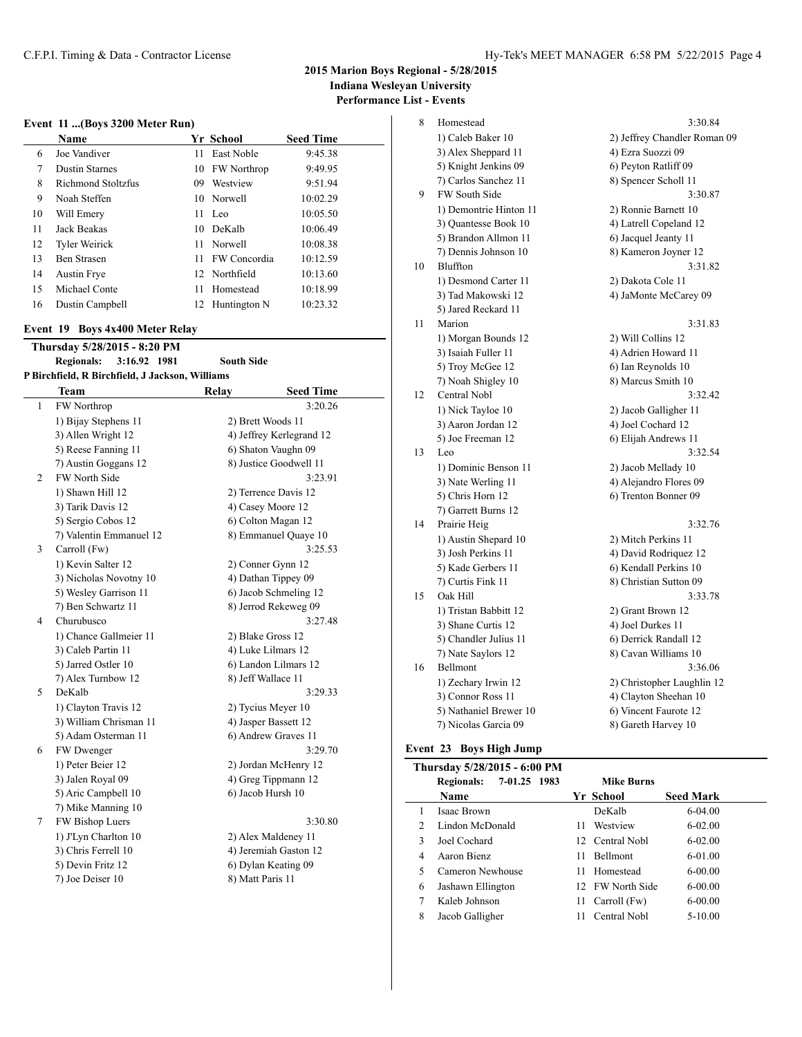## **2015 Marion Boys Regional - 5/28/2015 Indiana Wesleyan University Performance List - Events**

#### **Event 11 ...(Boys 3200 Meter Run)**

|    | <b>Name</b>               |    | Yr School           | <b>Seed Time</b> |
|----|---------------------------|----|---------------------|------------------|
| 6  | Joe Vandiver              | 11 | East Noble          | 9:45.38          |
| 7  | <b>Dustin Starnes</b>     |    | 10 FW Northrop      | 9:49.95          |
| 8  | <b>Richmond Stoltzfus</b> | 09 | Westview            | 9:51.94          |
| 9  | Noah Steffen              |    | 10 Norwell          | 10:02.29         |
| 10 | Will Emery                | 11 | Leo                 | 10:05.50         |
| 11 | Jack Beakas               | 10 | DeKalb              | 10:06.49         |
| 12 | <b>Tyler Weirick</b>      | 11 | Norwell             | 10:08.38         |
| 13 | <b>Ben Strasen</b>        | 11 | <b>FW</b> Concordia | 10:12.59         |
| 14 | Austin Frye               |    | 12 Northfield       | 10:13.60         |
| 15 | Michael Conte             | 11 | Homestead           | 10:18.99         |
| 16 | Dustin Campbell           |    | 12 Huntington N     | 10:23.32         |

#### **Event 19 Boys 4x400 Meter Relay**

# **Thursday 5/28/2015 - 8:20 PM Regionals: 3:16.92 1981 South Side**

**P Birchfield, R Birchfield, J Jackson, Williams**

|   | Team                    | Relay | <b>Seed Time</b>         |  |
|---|-------------------------|-------|--------------------------|--|
| 1 | <b>FW Northrop</b>      |       | 3:20.26                  |  |
|   | 1) Bijay Stephens 11    |       | 2) Brett Woods 11        |  |
|   | 3) Allen Wright 12      |       | 4) Jeffrey Kerlegrand 12 |  |
|   | 5) Reese Fanning 11     |       | 6) Shaton Vaughn 09      |  |
|   | 7) Austin Goggans 12    |       | 8) Justice Goodwell 11   |  |
| 2 | FW North Side           |       | 3:23.91                  |  |
|   | 1) Shawn Hill 12        |       | 2) Terrence Davis 12     |  |
|   | 3) Tarik Davis 12       |       | 4) Casey Moore 12        |  |
|   | 5) Sergio Cobos 12      |       | 6) Colton Magan 12       |  |
|   | 7) Valentin Emmanuel 12 |       | 8) Emmanuel Quaye 10     |  |
| 3 | Carroll (Fw)            |       | 3:25.53                  |  |
|   | 1) Kevin Salter 12      |       | 2) Conner Gynn 12        |  |
|   | 3) Nicholas Novotny 10  |       | 4) Dathan Tippey 09      |  |
|   | 5) Wesley Garrison 11   |       | 6) Jacob Schmeling 12    |  |
|   | 7) Ben Schwartz 11      |       | 8) Jerrod Rekeweg 09     |  |
| 4 | Churubusco              |       | 3:27.48                  |  |
|   | 1) Chance Gallmeier 11  |       | 2) Blake Gross 12        |  |
|   | 3) Caleb Partin 11      |       | 4) Luke Lilmars 12       |  |
|   | 5) Jarred Ostler 10     |       | 6) Landon Lilmars 12     |  |
|   | 7) Alex Turnbow 12      |       | 8) Jeff Wallace 11       |  |
| 5 | DeKalb                  |       | 3:29.33                  |  |
|   | 1) Clayton Travis 12    |       | 2) Tycius Meyer 10       |  |
|   | 3) William Chrisman 11  |       | 4) Jasper Bassett 12     |  |
|   | 5) Adam Osterman 11     |       | 6) Andrew Graves 11      |  |
| 6 | FW Dwenger              |       | 3:29.70                  |  |
|   | 1) Peter Beier 12       |       | 2) Jordan McHenry 12     |  |
|   | 3) Jalen Royal 09       |       | 4) Greg Tippmann 12      |  |
|   | 5) Aric Campbell 10     |       | 6) Jacob Hursh 10        |  |
|   | 7) Mike Manning 10      |       |                          |  |
| 7 | FW Bishop Luers         |       | 3:30.80                  |  |
|   | 1) J'Lyn Charlton 10    |       | 2) Alex Maldeney 11      |  |
|   | 3) Chris Ferrell 10     |       | 4) Jeremiah Gaston 12    |  |
|   | 5) Devin Fritz 12       |       | 6) Dylan Keating 09      |  |
|   | 7) Joe Deiser 10        |       | 8) Matt Paris 11         |  |

| 8  | Homestead              | 3:30.84                      |
|----|------------------------|------------------------------|
|    | 1) Caleb Baker 10      | 2) Jeffrey Chandler Roman 09 |
|    | 3) Alex Sheppard 11    | 4) Ezra Suozzi 09            |
|    | 5) Knight Jenkins 09   | 6) Peyton Ratliff 09         |
|    | 7) Carlos Sanchez 11   | 8) Spencer Scholl 11         |
| 9  | FW South Side          | 3:30.87                      |
|    | 1) Demontrie Hinton 11 | 2) Ronnie Barnett 10         |
|    | 3) Quantesse Book 10   | 4) Latrell Copeland 12       |
|    | 5) Brandon Allmon 11   | 6) Jacquel Jeanty 11         |
|    | 7) Dennis Johnson 10   | 8) Kameron Joyner 12         |
| 10 | Bluffton               | 3:31.82                      |
|    | 1) Desmond Carter 11   | 2) Dakota Cole 11            |
|    | 3) Tad Makowski 12     | 4) JaMonte McCarey 09        |
|    | 5) Jared Reckard 11    |                              |
| 11 | Marion                 | 3:31.83                      |
|    | 1) Morgan Bounds 12    | 2) Will Collins 12           |
|    | 3) Isaiah Fuller 11    | 4) Adrien Howard 11          |
|    | 5) Troy McGee 12       | 6) Ian Reynolds 10           |
|    | 7) Noah Shigley 10     | 8) Marcus Smith 10           |
| 12 | Central Nobl           | 3:32.42                      |
|    | 1) Nick Tayloe 10      | 2) Jacob Galligher 11        |
|    | 3) Aaron Jordan 12     | 4) Joel Cochard 12           |
|    | 5) Joe Freeman 12      | 6) Elijah Andrews 11         |
| 13 | Leo                    | 3:32.54                      |
|    | 1) Dominic Benson 11   | 2) Jacob Mellady 10          |
|    | 3) Nate Werling 11     | 4) Alejandro Flores 09       |
|    | 5) Chris Horn 12       | 6) Trenton Bonner 09         |
|    | 7) Garrett Burns 12    |                              |
| 14 | Prairie Heig           | 3:32.76                      |
|    | 1) Austin Shepard 10   | 2) Mitch Perkins 11          |
|    | 3) Josh Perkins 11     | 4) David Rodriquez 12        |
|    | 5) Kade Gerbers 11     | 6) Kendall Perkins 10        |
|    | 7) Curtis Fink 11      | 8) Christian Sutton 09       |
| 15 | Oak Hill               | 3:33.78                      |
|    | 1) Tristan Babbitt 12  | 2) Grant Brown 12            |
|    | 3) Shane Curtis 12     | 4) Joel Durkes 11            |
|    | 5) Chandler Julius 11  | 6) Derrick Randall 12        |
|    | 7) Nate Saylors 12     | 8) Cavan Williams 10         |
| 16 | Bellmont               | 3:36.06                      |
|    | 1) Zechary Irwin 12    | 2) Christopher Laughlin 12   |
|    | 3) Connor Ross 11      | 4) Clayton Sheehan 10        |
|    | 5) Nathaniel Brewer 10 | 6) Vincent Faurote 12        |
|    | 7) Nicolas Garcia 09   | 8) Gareth Harvey 10          |
|    |                        |                              |

# **Event 23 Boys High Jump**

 $\overline{a}$ 

| Thursday 5/28/2015 - 6:00 PM |                                   |    |                   |                  |  |
|------------------------------|-----------------------------------|----|-------------------|------------------|--|
|                              | 7-01.25 1983<br><b>Regionals:</b> |    | <b>Mike Burns</b> |                  |  |
|                              | <b>Name</b>                       |    | Yr School         | <b>Seed Mark</b> |  |
| 1                            | Isaac Brown                       |    | DeKalb            | $6-04.00$        |  |
| $\overline{c}$               | Lindon McDonald                   | 11 | Westview          | $6-02.00$        |  |
| 3                            | Joel Cochard                      |    | 12 Central Nobl   | $6 - 02.00$      |  |
| $\overline{4}$               | Aaron Bienz                       | 11 | <b>Bellmont</b>   | $6-01.00$        |  |
| 5                            | Cameron Newhouse                  | 11 | Homestead         | $6-00.00$        |  |
| 6                            | Jashawn Ellington                 |    | 12 FW North Side  | $6 - 00.00$      |  |
| 7                            | Kaleb Johnson                     |    | 11 Carroll (Fw)   | $6 - 00.00$      |  |
| 8                            | Jacob Galligher                   | 11 | Central Nobl      | $5 - 10.00$      |  |